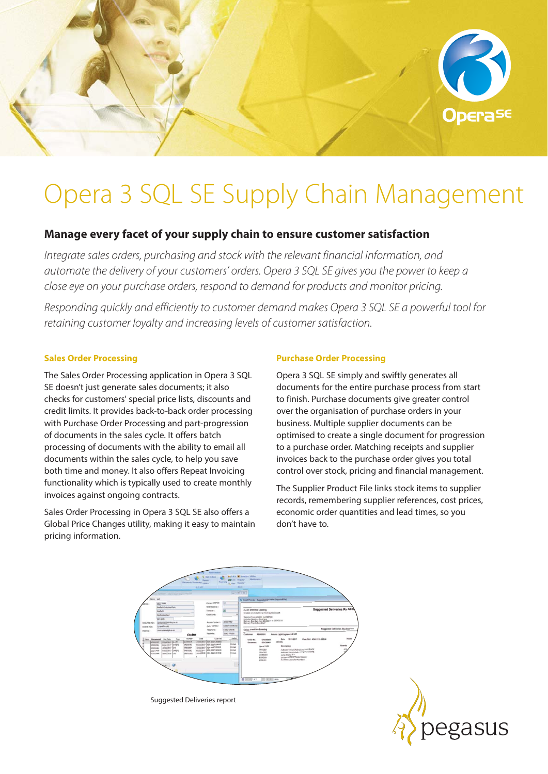

# Opera 3 SQL SE Supply Chain Management

## **Manage every facet of your supply chain to ensure customer satisfaction**

*Integrate sales orders, purchasing and stock with the relevant financial information, and automate the delivery of your customers' orders. Opera 3 SQL SE gives you the power to keep a close eye on your purchase orders, respond to demand for products and monitor pricing.* 

*Responding quickly and efficiently to customer demand makes Opera 3 SQL SE a powerful tool for retaining customer loyalty and increasing levels of customer satisfaction.* 

#### **Sales Order Processing**

The Sales Order Processing application in Opera 3 SQL SE doesn't just generate sales documents; it also checks for customers' special price lists, discounts and credit limits. It provides back-to-back order processing with Purchase Order Processing and part-progression of documents in the sales cycle. It offers batch processing of documents with the ability to email all documents within the sales cycle, to help you save both time and money. It also offers Repeat Invoicing functionality which is typically used to create monthly invoices against ongoing contracts.

Sales Order Processing in Opera 3 SQL SE also offers a Global Price Changes utility, making it easy to maintain pricing information.

### **Purchase Order Processing**

Opera 3 SQL SE simply and swiftly generates all documents for the entire purchase process from start to finish. Purchase documents give greater control over the organisation of purchase orders in your business. Multiple supplier documents can be optimised to create a single document for progression to a purchase order. Matching receipts and supplier invoices back to the purchase order gives you total control over stock, pricing and financial management.

The Supplier Product File links stock items to supplier records, remembering supplier references, cost prices, economic order quantities and lead times, so you don't have to.





Suggested Deliveries report